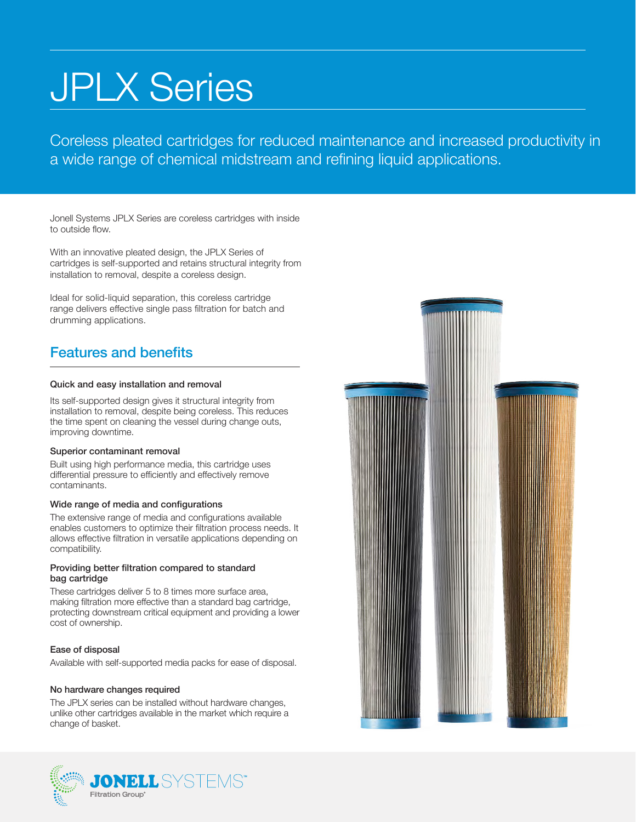# JPLX Series

Coreless pleated cartridges for reduced maintenance and increased productivity in a wide range of chemical midstream and refining liquid applications.

Jonell Systems JPLX Series are coreless cartridges with inside to outside flow.

With an innovative pleated design, the JPLX Series of cartridges is self-supported and retains structural integrity from installation to removal, despite a coreless design.

Ideal for solid-liquid separation, this coreless cartridge range delivers effective single pass filtration for batch and drumming applications.

## Features and benefits

## Quick and easy installation and removal

Its self-supported design gives it structural integrity from installation to removal, despite being coreless. This reduces the time spent on cleaning the vessel during change outs, improving downtime.

### Superior contaminant removal

Built using high performance media, this cartridge uses differential pressure to efficiently and effectively remove contaminants.

## Wide range of media and configurations

The extensive range of media and configurations available enables customers to optimize their filtration process needs. It allows effective filtration in versatile applications depending on compatibility.

### Providing better filtration compared to standard bag cartridge

These cartridges deliver 5 to 8 times more surface area, making filtration more effective than a standard bag cartridge, protecting downstream critical equipment and providing a lower cost of ownership.

## Ease of disposal

Available with self-supported media packs for ease of disposal.

### No hardware changes required

The JPLX series can be installed without hardware changes, unlike other cartridges available in the market which require a change of basket.